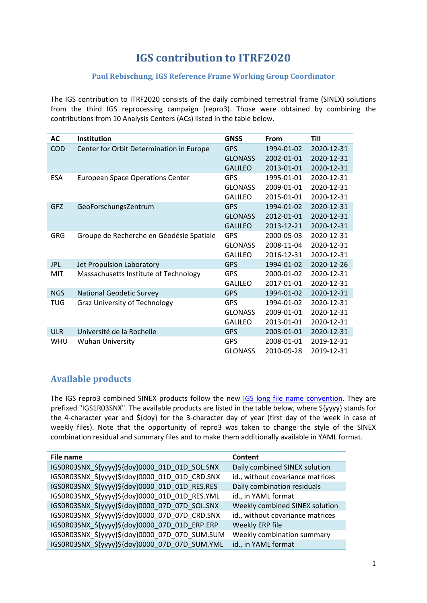# **IGS contribution to ITRF2020**

#### **Paul Rebischung, IGS Reference Frame Working Group Coordinator**

The IGS contribution to ITRF2020 consists of the daily combined terrestrial frame (SINEX) solutions from the third IGS reprocessing campaign (repro3). Those were obtained by combining the contributions from 10 Analysis Centers (ACs) listed in the table below.

| <b>AC</b>  | <b>Institution</b>                       | <b>GNSS</b>    | From       | Till       |
|------------|------------------------------------------|----------------|------------|------------|
| <b>COD</b> | Center for Orbit Determination in Europe | <b>GPS</b>     | 1994-01-02 | 2020-12-31 |
|            |                                          | <b>GLONASS</b> | 2002-01-01 | 2020-12-31 |
|            |                                          | <b>GALILEO</b> | 2013-01-01 | 2020-12-31 |
| ESA        | <b>European Space Operations Center</b>  | GPS            | 1995-01-01 | 2020-12-31 |
|            |                                          | <b>GLONASS</b> | 2009-01-01 | 2020-12-31 |
|            |                                          | <b>GALILEO</b> | 2015-01-01 | 2020-12-31 |
| <b>GFZ</b> | GeoForschungsZentrum                     | <b>GPS</b>     | 1994-01-02 | 2020-12-31 |
|            |                                          | <b>GLONASS</b> | 2012-01-01 | 2020-12-31 |
|            |                                          | <b>GALILEO</b> | 2013-12-21 | 2020-12-31 |
| <b>GRG</b> | Groupe de Recherche en Géodésie Spatiale | <b>GPS</b>     | 2000-05-03 | 2020-12-31 |
|            |                                          | <b>GLONASS</b> | 2008-11-04 | 2020-12-31 |
|            |                                          | <b>GALILEO</b> | 2016-12-31 | 2020-12-31 |
| <b>JPL</b> | Jet Propulsion Laboratory                | <b>GPS</b>     | 1994-01-02 | 2020-12-26 |
| MIT        | Massachusetts Institute of Technology    | <b>GPS</b>     | 2000-01-02 | 2020-12-31 |
|            |                                          | <b>GALILEO</b> | 2017-01-01 | 2020-12-31 |
| <b>NGS</b> | <b>National Geodetic Survey</b>          | <b>GPS</b>     | 1994-01-02 | 2020-12-31 |
| <b>TUG</b> | <b>Graz University of Technology</b>     | <b>GPS</b>     | 1994-01-02 | 2020-12-31 |
|            |                                          | <b>GLONASS</b> | 2009-01-01 | 2020-12-31 |
|            |                                          | <b>GALILEO</b> | 2013-01-01 | 2020-12-31 |
| <b>ULR</b> | Université de la Rochelle                | <b>GPS</b>     | 2003-01-01 | 2020-12-31 |
| <b>WHU</b> | <b>Wuhan University</b>                  | <b>GPS</b>     | 2008-01-01 | 2019-12-31 |
|            |                                          | <b>GLONASS</b> | 2010-09-28 | 2019-12-31 |

## **Available products**

The IGS repro3 combined SINEX products follow the new **IGS long file name convention**. They are prefixed "IGS1R03SNX". The available products are listed in the table below, where \${yyyy} stands for the 4-character year and \${doy} for the 3-character day of year (first day of the week in case of weekly files). Note that the opportunity of repro3 was taken to change the style of the SINEX combination residual and summary files and to make them additionally available in YAML format.

| File name                                      | Content                          |
|------------------------------------------------|----------------------------------|
| IGS0R03SNX_\${yyyy}\${doy}0000_01D_01D_SOL.SNX | Daily combined SINEX solution    |
| IGS0R03SNX_\${yyyy}\${doy}0000_01D_01D_CRD.SNX | id., without covariance matrices |
| IGS0R03SNX \${yyyy}\${doy}0000 01D 01D RES.RES | Daily combination residuals      |
| IGS0R03SNX_\${yyyy}\${doy}0000_01D_01D_RES.YML | id., in YAML format              |
| IGS0R03SNX_\${yyyy}\${doy}0000_07D_07D_SOL.SNX | Weekly combined SINEX solution   |
| IGS0R03SNX_\${yyyy}\${doy}0000_07D_07D_CRD.SNX | id., without covariance matrices |
| IGS0R03SNX_\${yyyy}\${doy}0000_07D_01D_ERP.ERP | Weekly ERP file                  |
| IGS0R03SNX_\${yyyy}\${doy}0000_07D_07D_SUM.SUM | Weekly combination summary       |
| IGS0R03SNX_\${yyyy}\${doy}0000_07D_07D_SUM.YML | id., in YAML format              |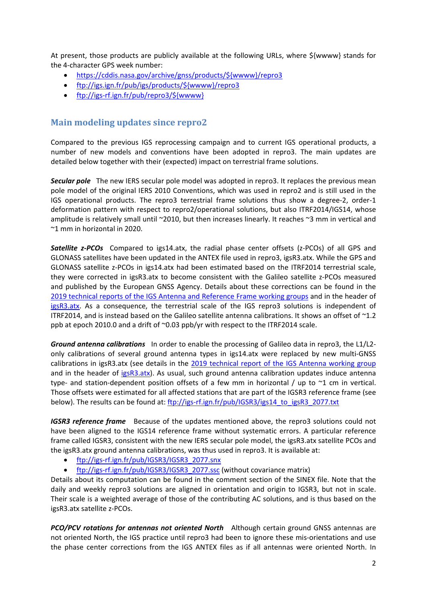At present, those products are publicly available at the following URLs, where \${wwww} stands for the 4-character GPS week number:

- [https://cddis.nasa.gov/archive/gnss/products/\\${wwww}/repro3](https://cddis.nasa.gov/archive/gnss/products/$%7bwwww%7d/repro3)
- [ftp://igs.ign.fr/pub/igs/products/\\${wwww}/repro3](ftp://igs.ign.fr/pub/igs/products/$%7bwwww%7d/repro3)
- [ftp://igs-rf.ign.fr/pub/repro3/\\${wwww}](ftp://igs-rf.ign.fr/pub/repro3/$%7bwwww%7d)

## **Main modeling updates since repro2**

Compared to the previous IGS reprocessing campaign and to current IGS operational products, a number of new models and conventions have been adopted in repro3. The main updates are detailed below together with their (expected) impact on terrestrial frame solutions.

*Secular pole* The new IERS secular pole model was adopted in repro3. It replaces the previous mean pole model of the original IERS 2010 Conventions, which was used in repro2 and is still used in the IGS operational products. The repro3 terrestrial frame solutions thus show a degree-2, order-1 deformation pattern with respect to repro2/operational solutions, but also ITRF2014/IGS14, whose amplitude is relatively small until ~2010, but then increases linearly. It reaches ~3 mm in vertical and ~1 mm in horizontal in 2020.

*Satellite z-PCOs* Compared to igs14.atx, the radial phase center offsets (z-PCOs) of all GPS and GLONASS satellites have been updated in the ANTEX file used in repro3, igsR3.atx. While the GPS and GLONASS satellite z-PCOs in igs14.atx had been estimated based on the ITRF2014 terrestrial scale, they were corrected in igsR3.atx to become consistent with the Galileo satellite z-PCOs measured and published by the European GNSS Agency. Details about these corrections can be found in the [2019 technical reports of the IGS Antenna and](https://doi.org/10.7892/boris.144003) Reference Frame working groups and in the header of [igsR3.atx.](ftp://igs-rf.ign.fr/pub/IGSR3/igsR3_2135.atx) As a consequence, the terrestrial scale of the IGS repro3 solutions is independent of ITRF2014, and is instead based on the Galileo satellite antenna calibrations. It shows an offset of ~1.2 ppb at epoch 2010.0 and a drift of ~0.03 ppb/yr with respect to the ITRF2014 scale.

*Ground antenna calibrations* In order to enable the processing of Galileo data in repro3, the L1/L2 only calibrations of several ground antenna types in igs14.atx were replaced by new multi-GNSS calibrations in igsR3.atx (see details in the [2019 technical report of the IGS Antenna working](https://doi.org/10.7892/boris.144003) group and in the header of [igsR3.atx\)](ftp://igs-rf.ign.fr/pub/IGSR3/igsR3_2135.atx). As usual, such ground antenna calibration updates induce antenna type- and station-dependent position offsets of a few mm in horizontal / up to ~1 cm in vertical. Those offsets were estimated for all affected stations that are part of the IGSR3 reference frame (see below). The results can be found at: [ftp://igs-rf.ign.fr/pub/IGSR3/igs14\\_to\\_igsR3\\_2077.txt](ftp://igs-rf.ign.fr/pub/IGSR3/igs14_to_igsR3_2077.txt)

*IGSR3 reference frame* Because of the updates mentioned above, the repro3 solutions could not have been aligned to the IGS14 reference frame without systematic errors. A particular reference frame called IGSR3, consistent with the new IERS secular pole model, the igsR3.atx satellite PCOs and the igsR3.atx ground antenna calibrations, was thus used in repro3. It is available at:

- [ftp://igs-rf.ign.fr/pub/IGSR3/IGSR3\\_2077.snx](ftp://igs-rf.ign.fr/pub/IGSR3/IGSR3_2077.snx)
- [ftp://igs-rf.ign.fr/pub/IGSR3/IGSR3\\_2077.ssc](ftp://igs-rf.ign.fr/pub/IGSR3/IGSR3_2077.ssc) (without covariance matrix)

Details about its computation can be found in the comment section of the SINEX file. Note that the daily and weekly repro3 solutions are aligned in orientation and origin to IGSR3, but not in scale. Their scale is a weighted average of those of the contributing AC solutions, and is thus based on the igsR3.atx satellite z-PCOs.

*PCO/PCV rotations for antennas not oriented North* Although certain ground GNSS antennas are not oriented North, the IGS practice until repro3 had been to ignore these mis-orientations and use the phase center corrections from the IGS ANTEX files as if all antennas were oriented North. In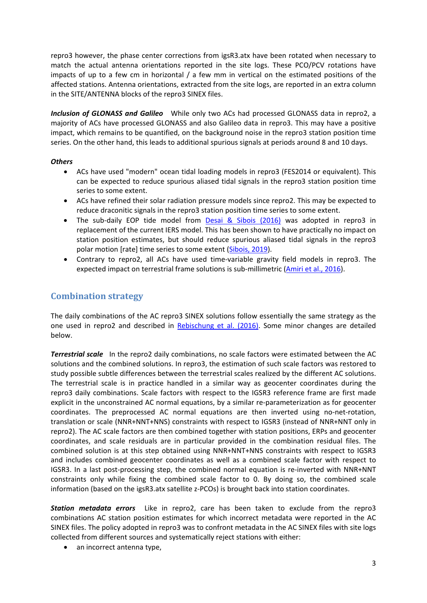repro3 however, the phase center corrections from igsR3.atx have been rotated when necessary to match the actual antenna orientations reported in the site logs. These PCO/PCV rotations have impacts of up to a few cm in horizontal / a few mm in vertical on the estimated positions of the affected stations. Antenna orientations, extracted from the site logs, are reported in an extra column in the SITE/ANTENNA blocks of the repro3 SINEX files.

*Inclusion of GLONASS and Galileo* While only two ACs had processed GLONASS data in repro2, a majority of ACs have processed GLONASS and also Galileo data in repro3. This may have a positive impact, which remains to be quantified, on the background noise in the repro3 station position time series. On the other hand, this leads to additional spurious signals at periods around 8 and 10 days.

#### *Others*

- ACs have used "modern" ocean tidal loading models in repro3 (FES2014 or equivalent). This can be expected to reduce spurious aliased tidal signals in the repro3 station position time series to some extent.
- ACs have refined their solar radiation pressure models since repro2. This may be expected to reduce draconitic signals in the repro3 station position time series to some extent.
- The sub-daily EOP tide model from [Desai & Sibois \(2016\)](https://doi.org/10.1002/2016JB013125) was adopted in repro3 in replacement of the current IERS model. This has been shown to have practically no impact on station position estimates, but should reduce spurious aliased tidal signals in the repro3 polar motion [rate] time series to some extent [\(Sibois, 2019\)](https://s3-ap-southeast-2.amazonaws.com/igs-acc-web/igs-acc-website/workshop2019/Sibois_IgsAcWorkshop_2019.pdf).
- Contrary to repro2, all ACs have used time-variable gravity field models in repro3. The expected impact on terrestrial frame solutions is sub-millimetric [\(Amiri et al., 2016\)](https://files.igs.org/pub/resource/pubs/workshop/2016/W2016%20-%20PS1301%20-%20Amiri.pdf).

### **Combination strategy**

The daily combinations of the AC repro3 SINEX solutions follow essentially the same strategy as the one used in repro2 and described in [Rebischung et al.](https://doi.org/10.1007/s00190-016-0897-6) (2016). Some minor changes are detailed below.

*Terrestrial scale* In the repro2 daily combinations, no scale factors were estimated between the AC solutions and the combined solutions. In repro3, the estimation of such scale factors was restored to study possible subtle differences between the terrestrial scales realized by the different AC solutions. The terrestrial scale is in practice handled in a similar way as geocenter coordinates during the repro3 daily combinations. Scale factors with respect to the IGSR3 reference frame are first made explicit in the unconstrained AC normal equations, by a similar re-parameterization as for geocenter coordinates. The preprocessed AC normal equations are then inverted using no-net-rotation, translation or scale (NNR+NNT+NNS) constraints with respect to IGSR3 (instead of NNR+NNT only in repro2). The AC scale factors are then combined together with station positions, ERPs and geocenter coordinates, and scale residuals are in particular provided in the combination residual files. The combined solution is at this step obtained using NNR+NNT+NNS constraints with respect to IGSR3 and includes combined geocenter coordinates as well as a combined scale factor with respect to IGSR3. In a last post-processing step, the combined normal equation is re-inverted with NNR+NNT constraints only while fixing the combined scale factor to 0. By doing so, the combined scale information (based on the igsR3.atx satellite z-PCOs) is brought back into station coordinates.

*Station metadata errors* Like in repro2, care has been taken to exclude from the repro3 combinations AC station position estimates for which incorrect metadata were reported in the AC SINEX files. The policy adopted in repro3 was to confront metadata in the AC SINEX files with site logs collected from different sources and systematically reject stations with either:

• an incorrect antenna type,